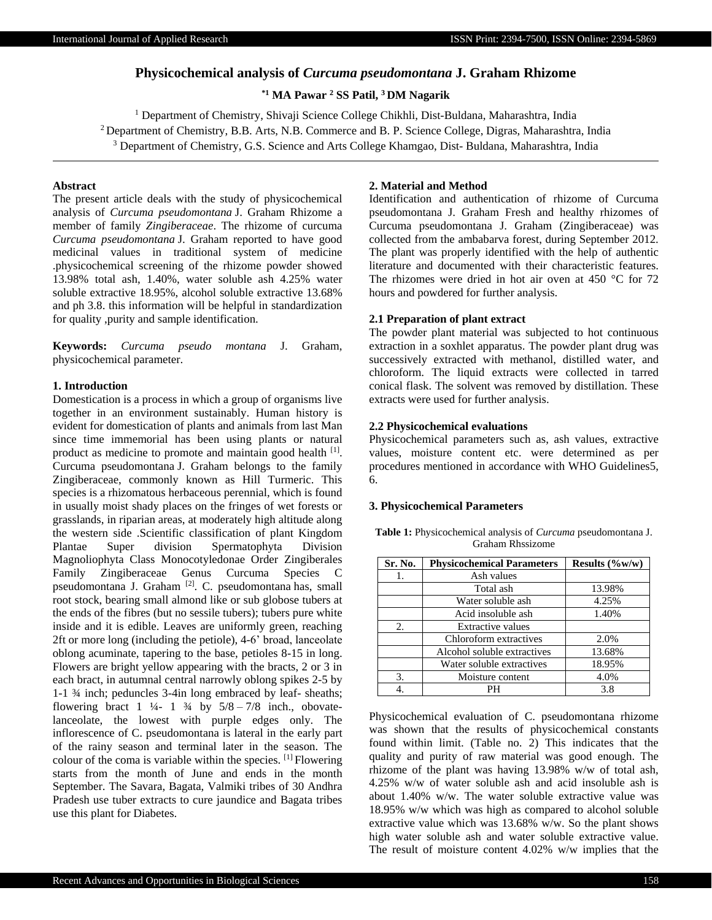# **Physicochemical analysis of** *Curcuma pseudomontana* **J. Graham Rhizome**

## **\*1 MA Pawar <sup>2</sup> SS Patil, <sup>3</sup>DM Nagarik**

<sup>1</sup> Department of Chemistry, Shivaji Science College Chikhli, Dist-Buldana, Maharashtra, India <sup>2</sup> Department of Chemistry, B.B. Arts, N.B. Commerce and B. P. Science College, Digras, Maharashtra, India <sup>3</sup> Department of Chemistry, G.S. Science and Arts College Khamgao, Dist- Buldana, Maharashtra, India

### **Abstract**

The present article deals with the study of physicochemical analysis of *Curcuma pseudomontana* J. Graham Rhizome a member of family *Zingiberaceae*. The rhizome of curcuma *Curcuma pseudomontana* J. Graham reported to have good medicinal values in traditional system of medicine .physicochemical screening of the rhizome powder showed 13.98% total ash, 1.40%, water soluble ash 4.25% water soluble extractive 18.95%, alcohol soluble extractive 13.68% and ph 3.8. this information will be helpful in standardization for quality ,purity and sample identification.

**Keywords:** *Curcuma pseudo montana* J. Graham, physicochemical parameter.

#### **1. Introduction**

Domestication is a process in which a group of organisms live together in an environment sustainably. Human history is evident for domestication of plants and animals from last Man since time immemorial has been using plants or natural product as medicine to promote and maintain good health [1]. Curcuma pseudomontana J. Graham belongs to the family Zingiberaceae, commonly known as Hill Turmeric. This species is a rhizomatous herbaceous perennial, which is found in usually moist shady places on the fringes of wet forests or grasslands, in riparian areas, at moderately high altitude along the western side .Scientific classification of plant Kingdom Plantae Super division Spermatophyta Division Magnoliophyta Class Monocotyledonae Order Zingiberales Family Zingiberaceae Genus Curcuma Species C pseudomontana J. Graham <a>[2]</a>. C. pseudomontana has, small root stock, bearing small almond like or sub globose tubers at the ends of the fibres (but no sessile tubers); tubers pure white inside and it is edible. Leaves are uniformly green, reaching 2ft or more long (including the petiole), 4-6' broad, lanceolate oblong acuminate, tapering to the base, petioles 8-15 in long. Flowers are bright yellow appearing with the bracts, 2 or 3 in each bract, in autumnal central narrowly oblong spikes 2-5 by 1-1 ¾ inch; peduncles 3-4in long embraced by leaf- sheaths; flowering bract  $1 \frac{1}{4} - 1 \frac{3}{4}$  by  $5/8 - 7/8$  inch., obovatelanceolate, the lowest with purple edges only. The inflorescence of C. pseudomontana is lateral in the early part of the rainy season and terminal later in the season. The colour of the coma is variable within the species. [1] Flowering starts from the month of June and ends in the month September. The Savara, Bagata, Valmiki tribes of 30 Andhra Pradesh use tuber extracts to cure jaundice and Bagata tribes use this plant for Diabetes.

### **2. Material and Method**

Identification and authentication of rhizome of Curcuma pseudomontana J. Graham Fresh and healthy rhizomes of Curcuma pseudomontana J. Graham (Zingiberaceae) was collected from the ambabarva forest, during September 2012. The plant was properly identified with the help of authentic literature and documented with their characteristic features. The rhizomes were dried in hot air oven at 450 °C for 72 hours and powdered for further analysis.

### **2.1 Preparation of plant extract**

The powder plant material was subjected to hot continuous extraction in a soxhlet apparatus. The powder plant drug was successively extracted with methanol, distilled water, and chloroform. The liquid extracts were collected in tarred conical flask. The solvent was removed by distillation. These extracts were used for further analysis.

#### **2.2 Physicochemical evaluations**

Physicochemical parameters such as, ash values, extractive values, moisture content etc. were determined as per procedures mentioned in accordance with WHO Guidelines5, 6.

#### **3. Physicochemical Parameters**

**Table 1:** Physicochemical analysis of *Curcuma* pseudomontana J. Graham Rhssizome

| Sr. No. | <b>Physicochemical Parameters</b> | Results $(\%w/w)$ |
|---------|-----------------------------------|-------------------|
| Ī.      | Ash values                        |                   |
|         | Total ash                         | 13.98%            |
|         | Water soluble ash                 | 4.25%             |
|         | Acid insoluble ash                | 1.40%             |
| 2.      | <b>Extractive values</b>          |                   |
|         | Chloroform extractives            | 2.0%              |
|         | Alcohol soluble extractives       | 13.68%            |
|         | Water soluble extractives         | 18.95%            |
| 3.      | Moisture content                  | 4.0%              |
|         |                                   | 3.8               |

Physicochemical evaluation of C. pseudomontana rhizome was shown that the results of physicochemical constants found within limit. (Table no.  $2$ ) This indicates that the quality and purity of raw material was good enough. The rhizome of the plant was having 13.98% w/w of total ash, 4.25% w/w of water soluble ash and acid insoluble ash is about 1.40% w/w. The water soluble extractive value was 18.95% w/w which was high as compared to alcohol soluble extractive value which was 13.68% w/w. So the plant shows high water soluble ash and water soluble extractive value. The result of moisture content 4.02% w/w implies that the